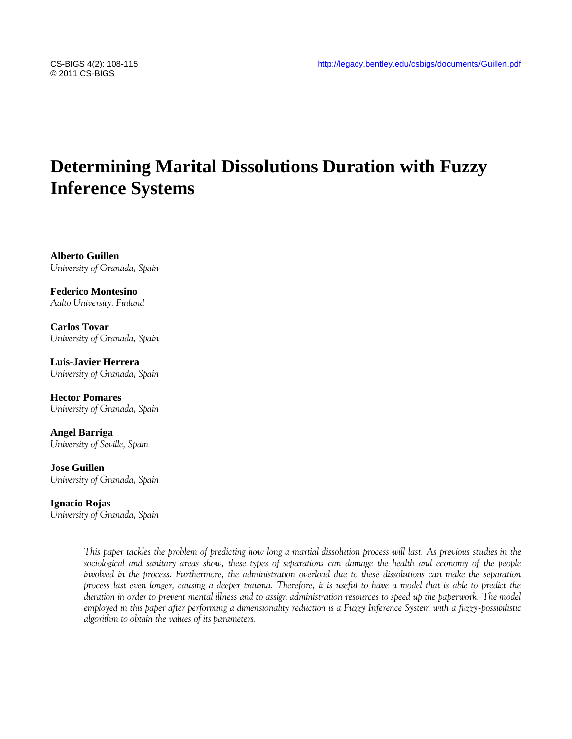# **Determining Marital Dissolutions Duration with Fuzzy Inference Systems**

**Alberto Guillen** *University of Granada, Spain*

**Federico Montesino** *Aalto University, Finland*

**Carlos Tovar** *University of Granada, Spain*

**Luis-Javier Herrera** *University of Granada, Spain*

**Hector Pomares** *University of Granada, Spain*

**Angel Barriga** *University of Seville, Spain*

**Jose Guillen** *University of Granada, Spain*

**Ignacio Rojas** *University of Granada, Spain*

> *This paper tackles the problem of predicting how long a martial dissolution process will last. As previous studies in the*  sociological and sanitary areas show, these types of separations can damage the health and economy of the people *involved in the process. Furthermore, the administration overload due to these dissolutions can make the separation process last even longer, causing a deeper trauma. Therefore, it is useful to have a model that is able to predict the duration in order to prevent mental illness and to assign administration resources to speed up the paperwork. The model employed in this paper after performing a dimensionality reduction is a Fuzzy Inference System with a fuzzy-possibilistic algorithm to obtain the values of its parameters.*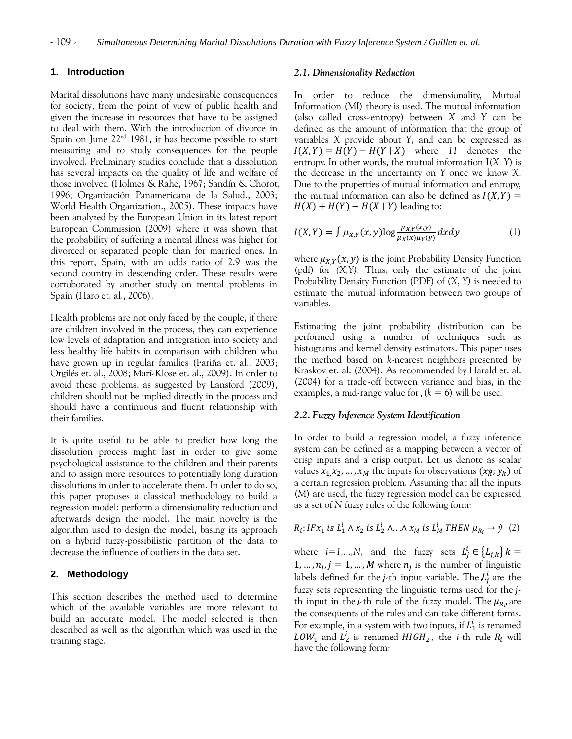## **1. Introduction**

Marital dissolutions have many undesirable consequences for society, from the point of view of public health and given the increase in resources that have to be assigned to deal with them. With the introduction of divorce in Spain on June 22ed 1981, it has become possible to start measuring and to study consequences for the people involved. Preliminary studies conclude that a dissolution has several impacts on the quality of life and welfare of those involved (Holmes & Rahe, 1967; Sandín & Chorot, 1996; Organización Panamericana de la Salud., 2003; World Health Organization., 2005). These impacts have been analyzed by the European Union in its latest report European Commission (2009) where it was shown that the probability of suffering a mental illness was higher for divorced or separated people than for married ones. In this report, Spain, with an odds ratio of 2.9 was the second country in descending order. These results were corroborated by another study on mental problems in Spain (Haro et. al., 2006).

Health problems are not only faced by the couple, if there are children involved in the process, they can experience low levels of adaptation and integration into society and less healthy life habits in comparison with children who have grown up in regular families (Fariña et. al., 2003; Orgilés et. al., 2008; Marí-Klose et. al., 2009). In order to avoid these problems, as suggested by Lansford (2009), children should not be implied directly in the process and should have a continuous and fluent relationship with their families.

It is quite useful to be able to predict how long the dissolution process might last in order to give some psychological assistance to the children and their parents and to assign more resources to potentially long duration dissolutions in order to accelerate them. In order to do so, this paper proposes a classical methodology to build a regression model: perform a dimensionality reduction and afterwards design the model. The main novelty is the algorithm used to design the model, basing its approach on a hybrid fuzzy-possibilistic partition of the data to decrease the influence of outliers in the data set.

## **2. Methodology**

This section describes the method used to determine which of the available variables are more relevant to build an accurate model. The model selected is then described as well as the algorithm which was used in the training stage.

#### *2.1. Dimensionality Reduction*

In order to reduce the dimensionality, Mutual Information (MI) theory is used. The mutual information (also called cross-entropy) between *X* and *Y* can be defined as the amount of information that the group of variables *X* provide about *Y*, and can be expressed as  $I(X, Y) = H(Y) - H(Y | X)$  where H denotes the entropy. In other words, the mutual information I(*X, Y*) is the decrease in the uncertainty on *Y* once we know *X*. Due to the properties of mutual information and entropy, the mutual information can also be defined as  $I(X, Y) =$  $H(X) + H(Y) - H(X | Y)$  leading to:

$$
I(X,Y) = \int \mu_{X,Y}(x,y) \log \frac{\mu_{X,Y}(x,y)}{\mu_X(x)\mu_Y(y)} dxdy \tag{1}
$$

where  $\mu_{X,Y}(x, y)$  is the joint Probability Density Function (pdf) for *(X,Y).* Thus, only the estimate of the joint Probability Density Function (PDF) of (*X*, *Y)* is needed to estimate the mutual information between two groups of variables.

Estimating the joint probability distribution can be performed using a number of techniques such as histograms and kernel density estimators. This paper uses the method based on *k*-nearest neighbors presented by Kraskov et. al. (2004). As recommended by Harald et. al. (2004) for a trade-off between variance and bias, in the examples, a mid-range value for  $(k = 6)$  will be used.

#### *2.2. Fuzzy Inference System Identification*

In order to build a regression model, a fuzzy inference system can be defined as a mapping between a vector of crisp inputs and a crisp output. Let us denote as scalar values  $x_1, x_2, ..., x_M$  the inputs for observations  $(x_R; y_k)$  of a certain regression problem. Assuming that all the inputs (*M*) are used, the fuzzy regression model can be expressed as a set of *N* fuzzy rules of the following form:

$$
R_i: IFx_1 \text{ is } L_1^i \wedge x_2 \text{ is } L_2^i \wedge \ldots \wedge x_M \text{ is } L_M^i \text{ THEN } \mu_{R_i} \to \hat{y} \tag{2}
$$

where  $i=1,...,N$ , and the fuzzy sets  $L_i^i$ 1, ...,  $n_i$ ,  $j = 1, ..., M$  where  $n_i$  is the number of linguistic labels defined for the *j*-th input variable. The  $L_i^i$  are the fuzzy sets representing the linguistic terms used for the *j*th input in the *i*-th rule of the fuzzy model. The  $\mu_{R_i}$  are the consequents of the rules and can take different forms. For example, in a system with two inputs, if  $L_1^i$  is renamed LOW<sub>1</sub> and  $L_2^i$  is renamed HIGH<sub>2</sub>, the *i*-th rule  $R_i$  will have the following form: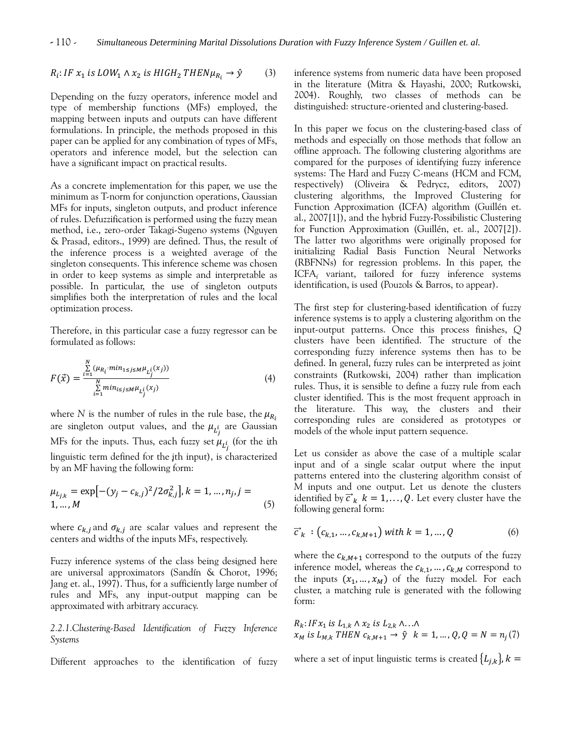$R_i$ : IF  $x_1$  is LOW<sub>1</sub>  $\wedge$   $x_2$  is HIGH<sub>2</sub> THEN $\mu_{R_i} \rightarrow \hat{y}$  (3)

Depending on the fuzzy operators, inference model and type of membership functions (MFs) employed, the mapping between inputs and outputs can have different formulations. In principle, the methods proposed in this paper can be applied for any combination of types of MFs, operators and inference model, but the selection can have a significant impact on practical results.

As a concrete implementation for this paper, we use the minimum as T-norm for conjunction operations, Gaussian MFs for inputs, singleton outputs, and product inference of rules. Defuzzification is performed using the fuzzy mean method, i.e., zero-order Takagi-Sugeno systems (Nguyen & Prasad, editors., 1999) are defined. Thus, the result of the inference process is a weighted average of the singleton consequents. This inference scheme was chosen in order to keep systems as simple and interpretable as possible. In particular, the use of singleton outputs simplifies both the interpretation of rules and the local optimization process.

Therefore, in this particular case a fuzzy regressor can be formulated as follows:

$$
F(\vec{x}) = \frac{\sum_{i=1}^{N} (\mu_{R_i} \cdot \min_{1 \le j \le M} \mu_{L_j^i}(x_j))}{\sum_{i=1}^{N} \min_{i \le j \le M} \mu_{L_j^i}(x_j)}
$$
(4)

where *N* is the number of rules in the rule base, the  $\mu_{R_i}$ are singleton output values, and the  $\mu_{\tau^i}$  are Gaussian MFs for the inputs. Thus, each fuzzy set  $\mu_{I^i}$  (for the ith linguistic term defined for the jth input), is characterized by an MF having the following form:

$$
\mu_{L_{j,k}} = \exp[-(y_j - c_{k,j})^2 / 2\sigma_{k,j}^2], k = 1, ..., n_j, j = 1, ..., M
$$
\n(5)

where  $c_{k,i}$  and  $\sigma_{k,i}$  are scalar values and represent the centers and widths of the inputs MFs, respectively.

Fuzzy inference systems of the class being designed here are universal approximators (Sandín & Chorot, 1996; Jang et. al., 1997). Thus, for a sufficiently large number of rules and MFs, any input-output mapping can be approximated with arbitrary accuracy.

*2.2.1.Clustering-Based Identification of Fuzzy Inference Systems*

Different approaches to the identification of fuzzy

inference systems from numeric data have been proposed in the literature (Mitra & Hayashi, 2000; Rutkowski, 2004). Roughly, two classes of methods can be distinguished: structure-oriented and clustering-based.

In this paper we focus on the clustering-based class of methods and especially on those methods that follow an offline approach. The following clustering algorithms are compared for the purposes of identifying fuzzy inference systems: The Hard and Fuzzy C-means (HCM and FCM, respectively) (Oliveira & Pedrycz, editors, 2007) clustering algorithms, the Improved Clustering for Function Approximation (ICFA) algorithm (Guillén et. al., 2007[1]), and the hybrid Fuzzy-Possibilistic Clustering for Function Approximation (Guillén, et. al., 2007[2]). The latter two algorithms were originally proposed for initializing Radial Basis Function Neural Networks (RBFNNs) for regression problems. In this paper, the  $ICFA<sub>f</sub>$  variant, tailored for fuzzy inference systems identification, is used (Pouzols & Barros, to appear).

The first step for clustering-based identification of fuzzy inference systems is to apply a clustering algorithm on the input-output patterns. Once this process finishes, *Q*  clusters have been identified. The structure of the corresponding fuzzy inference systems then has to be defined. In general, fuzzy rules can be interpreted as joint constraints (Rutkowski, 2004) rather than implication rules. Thus, it is sensible to define a fuzzy rule from each cluster identified. This is the most frequent approach in the literature. This way, the clusters and their corresponding rules are considered as prototypes or models of the whole input pattern sequence.

Let us consider as above the case of a multiple scalar input and of a single scalar output where the input patterns entered into the clustering algorithm consist of *M* inputs and one output. Let us denote the clusters identified by  $\vec{c}_k$   $k = 1, \ldots, Q$ . Let every cluster have the following general form:

$$
\vec{c}_k : (c_{k,1}, \dots, c_{k,M+1}) \text{ with } k = 1, \dots, Q \tag{6}
$$

where the  $c_{k,M+1}$  correspond to the outputs of the fuzzy inference model, whereas the  $c_{k,1},...,c_{k,M}$  correspond to the inputs  $(x_1,...,x_M)$  of the fuzzy model. For each cluster, a matching rule is generated with the following form:

$$
R_k: IFx_1 \text{ is } L_{1,k} \wedge x_2 \text{ is } L_{2,k} \wedge \ldots \wedge
$$
  

$$
x_M \text{ is } L_{M,k} \text{ THEN } c_{k,M+1} \rightarrow \hat{y} \quad k = 1, \ldots, Q, Q = N = n_j(7)
$$

where a set of input linguistic terms is created  $\{L_{j,k}\}\,$ ,  $k =$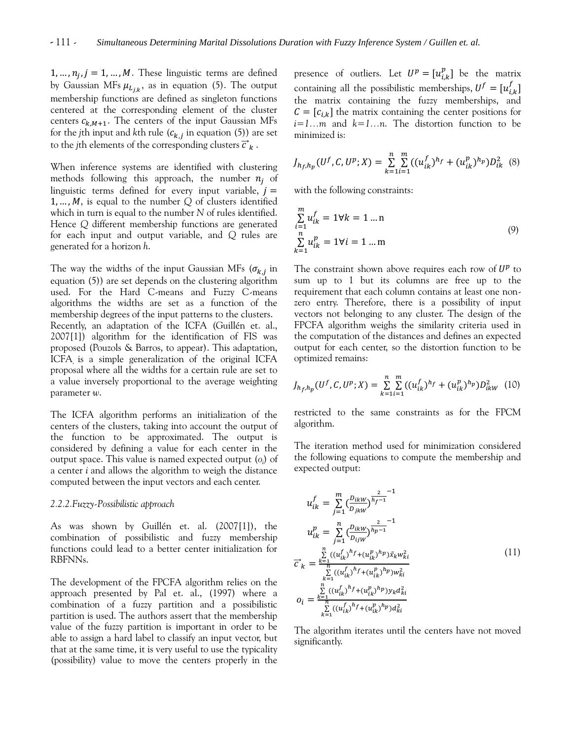1, ...,  $n_i$ ,  $j = 1$ , ..., M. These linguistic terms are defined by Gaussian MFs  $\mu_{Li}$ , as in equation (5). The output membership functions are defined as singleton functions centered at the corresponding element of the cluster centers  $c_{k,M+1}$ . The centers of the input Gaussian MFs for the *j*th input and *k*th rule  $(c_{k,i}$  in equation (5)) are set to the *j*th elements of the corresponding clusters  $\vec{c}_k$ .

When inference systems are identified with clustering methods following this approach, the number  $n_i$  of linguistic terms defined for every input variable,  $i =$ 1, ..., M, is equal to the number  $Q$  of clusters identified which in turn is equal to the number *N* of rules identified. Hence *Q* different membership functions are generated for each input and output variable, and *Q* rules are generated for a horizon *h*.

The way the widths of the input Gaussian MFs ( $\sigma_{k,i}$  in equation (5)) are set depends on the clustering algorithm used. For the Hard C-means and Fuzzy C-means algorithms the widths are set as a function of the membership degrees of the input patterns to the clusters. Recently, an adaptation of the ICFA (Guillén et. al., 2007[1]) algorithm for the identification of FIS was proposed (Pouzols & Barros, to appear). This adaptation, ICFA is a simple generalization of the original ICFA proposal where all the widths for a certain rule are set to a value inversely proportional to the average weighting parameter *w*.

The ICFA algorithm performs an initialization of the centers of the clusters, taking into account the output of the function to be approximated. The output is considered by defining a value for each center in the output space. This value is named expected output (*o<sup>i</sup>* ) of a center *i* and allows the algorithm to weigh the distance computed between the input vectors and each center.

#### *2.2.2.Fuzzy-Possibilistic approach*

As was shown by Guillén et. al. (2007[1]), the combination of possibilistic and fuzzy membership functions could lead to a better center initialization for RBFNNs.

The development of the FPCFA algorithm relies on the approach presented by Pal et. al., (1997) where a combination of a fuzzy partition and a possibilistic partition is used. The authors assert that the membership value of the fuzzy partition is important in order to be able to assign a hard label to classify an input vector, but that at the same time, it is very useful to use the typicality (possibility) value to move the centers properly in the

presence of outliers. Let  $U^p = [u_{ik}^p]$  be the matrix containing all the possibilistic memberships,  $U^f = [u^f_{i,k}]$ the matrix containing the fuzzy memberships, and  $\mathcal{C} = [c_{i,k}]$  the matrix containing the center positions for *i=1…m* and *k=1…n*. The distortion function to be minimized is:

$$
J_{h_f,h_p}(U^f,C,U^p;X) = \sum_{k=1}^n \sum_{i=1}^m ((u_{ik}^f)^{h_f} + (u_{ik}^p)^{h_p})D_{ik}^2
$$
 (8)

with the following constraints:

$$
\sum_{i=1}^{m} u_{ik}^{f} = 1 \forall k = 1 \dots n
$$
\n
$$
\sum_{k=1}^{n} u_{ik}^{p} = 1 \forall i = 1 \dots m
$$
\n(9)

The constraint shown above requires each row of  $U^p$  to sum up to 1 but its columns are free up to the requirement that each column contains at least one nonzero entry. Therefore, there is a possibility of input vectors not belonging to any cluster. The design of the FPCFA algorithm weighs the similarity criteria used in the computation of the distances and defines an expected output for each center, so the distortion function to be optimized remains:

$$
J_{h_f,h_p}(U^f, C, U^p; X) = \sum_{k=1}^n \sum_{i=1}^m ((u_{ik}^f)^{h_f} + (u_{ik}^p)^{h_p}) D_{ikW}^2
$$
 (10)

restricted to the same constraints as for the FPCM algorithm.

The iteration method used for minimization considered the following equations to compute the membership and expected output:

$$
u_{ik}^{f} = \sum_{j=1}^{m} \left(\frac{D_{ikW}}{D_{jkW}}\right)^{\frac{2}{h_{f}-1}}^{n-1}
$$
  
\n
$$
u_{ik}^{p} = \sum_{j=1}^{n} \left(\frac{D_{ikW}}{D_{ijW}}\right)^{\frac{2}{h_{p}-1}}^{n-1}
$$
  
\n
$$
\overrightarrow{c}_{k} = \frac{\sum_{k=1}^{n} \left((u_{ik}^{f})^{h_{f}} + (u_{ik}^{p})^{h_{p}}\right) \overrightarrow{x}_{k}w_{ki}^{2}}{\sum_{k=1}^{n} \left((u_{ik}^{f})^{h_{f}} + (u_{ik}^{p})^{h_{p}}\right)w_{ki}^{2}}
$$
  
\n
$$
o_{i} = \frac{\sum_{k=1}^{n} \left((u_{ik}^{f})^{h_{f}} + (u_{ik}^{p})^{h_{p}}\right) y_{k} d_{ki}^{2}}{\sum_{k=1}^{n} \left((u_{ik}^{f})^{h_{f}} + (u_{ik}^{p})^{h_{p}}\right) d_{ki}^{2}}
$$
  
\n(11)

The algorithm iterates until the centers have not moved significantly.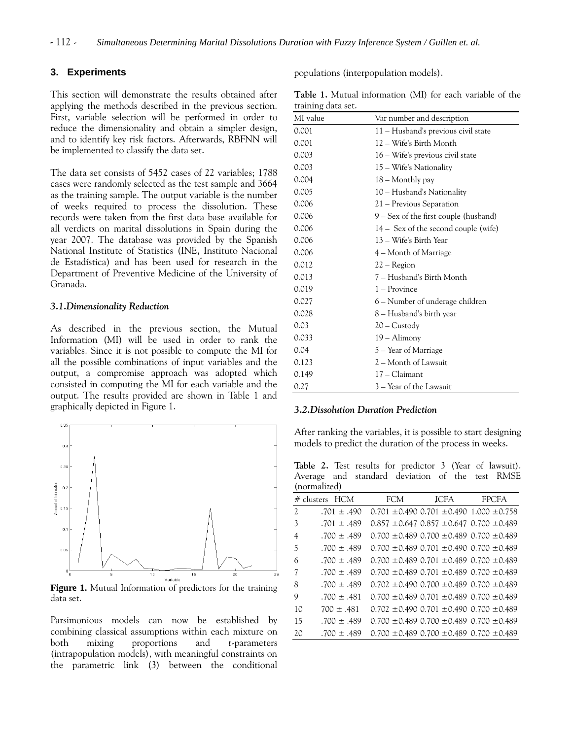## **3. Experiments**

This section will demonstrate the results obtained after applying the methods described in the previous section. First, variable selection will be performed in order to reduce the dimensionality and obtain a simpler design, and to identify key risk factors. Afterwards, RBFNN will be implemented to classify the data set.

The data set consists of 5452 cases of 22 variables; 1788 cases were randomly selected as the test sample and 3664 as the training sample. The output variable is the number of weeks required to process the dissolution. These records were taken from the first data base available for all verdicts on marital dissolutions in Spain during the year 2007. The database was provided by the Spanish National Institute of Statistics (INE, Instituto Nacional de Estadística) and has been used for research in the Department of Preventive Medicine of the University of Granada.

## *3.1.Dimensionality Reduction*

As described in the previous section, the Mutual Information (MI) will be used in order to rank the variables. Since it is not possible to compute the MI for all the possible combinations of input variables and the output, a compromise approach was adopted which consisted in computing the MI for each variable and the output. The results provided are shown in Table 1 and graphically depicted in Figure 1.



**Figure 1.** Mutual Information of predictors for the training data set.

Parsimonious models can now be established by combining classical assumptions within each mixture on both mixing proportions and *t*-parameters (intrapopulation models), with meaningful constraints on the parametric link (3) between the conditional populations (interpopulation models).

**Table 1.** Mutual information (MI) for each variable of the training data set.

| MI value | Var number and description             |
|----------|----------------------------------------|
| 0.001    | 11 – Husband's previous civil state    |
| 0.001    | 12 – Wife's Birth Month                |
| 0.003    | 16 – Wife's previous civil state       |
| 0.003    | 15 – Wife's Nationality                |
| 0.004    | 18 – Monthly pay                       |
| 0.005    | 10 – Husband's Nationality             |
| 0.006    | 21 – Previous Separation               |
| 0.006    | 9 – Sex of the first couple (husband)  |
| 0.006    | $14 -$ Sex of the second couple (wife) |
| 0.006    | 13 – Wife's Birth Year                 |
| 0.006    | 4 – Month of Marriage                  |
| 0.012    | 22 – Region                            |
| 0.013    | 7 – Husband's Birth Month              |
| 0.019    | 1 – Province                           |
| 0.027    | 6 - Number of underage children        |
| 0.028    | 8 – Husband's birth year               |
| 0.03     | $20 -$ Custody                         |
| 0.033    | $19 -$ Alimony                         |
| 0.04     | 5 – Year of Marriage                   |
| 0.123    | 2 – Month of Lawsuit                   |
| 0.149    | 17 - Claimant                          |
| 0.27     | 3 – Year of the Lawsuit                |

#### *3.2.Dissolution Duration Prediction*

After ranking the variables, it is possible to start designing models to predict the duration of the process in weeks.

**Table 2.** Test results for predictor 3 (Year of lawsuit). Average and standard deviation of the test RMSE (normalized)

| (normalized)             |                 |            |                                                       |              |
|--------------------------|-----------------|------------|-------------------------------------------------------|--------------|
|                          | # clusters HCM  | <b>FCM</b> | <b>ICFA</b>                                           | <b>FPCFA</b> |
| $\overline{\mathcal{L}}$ | $.701 \pm .490$ |            | $0.701 \pm 0.490$ $0.701 \pm 0.490$ $1.000 \pm 0.758$ |              |
| 3                        | $.701 \pm .489$ |            | $0.857 \pm 0.647$ $0.857 \pm 0.647$ $0.700 \pm 0.489$ |              |
| 4                        | $.700 \pm .489$ |            | $0.700 \pm 0.489$ 0.700 $\pm 0.489$ 0.700 $\pm 0.489$ |              |
| 5                        | $.700 \pm .489$ |            | $0.700 \pm 0.489$ 0.701 $\pm 0.490$ 0.700 $\pm 0.489$ |              |
| 6                        | .700 $\pm$ .489 |            | $0.700 \pm 0.489$ 0.701 $\pm 0.489$ 0.700 $\pm 0.489$ |              |
| 7                        | $.700 \pm .489$ |            | $0.700 \pm 0.489$ 0.701 $\pm 0.489$ 0.700 $\pm 0.489$ |              |
| 8                        | $.700 \pm .489$ |            | $0.702 \pm 0.490$ $0.700 \pm 0.489$ $0.700 \pm 0.489$ |              |
| 9                        | $.700 \pm .481$ |            | $0.700 \pm 0.489$ 0.701 $\pm 0.489$ 0.700 $\pm 0.489$ |              |
| 10                       | $700 \pm .481$  |            | $0.702 \pm 0.490$ 0.701 $\pm 0.490$ 0.700 $\pm 0.489$ |              |
| 15                       | $.700 \pm .489$ |            | $0.700 \pm 0.489$ 0.700 $\pm 0.489$ 0.700 $\pm 0.489$ |              |
| 20                       | .700 $\pm$ .489 |            | $0.700 \pm 0.489$ $0.700 \pm 0.489$ $0.700 \pm 0.489$ |              |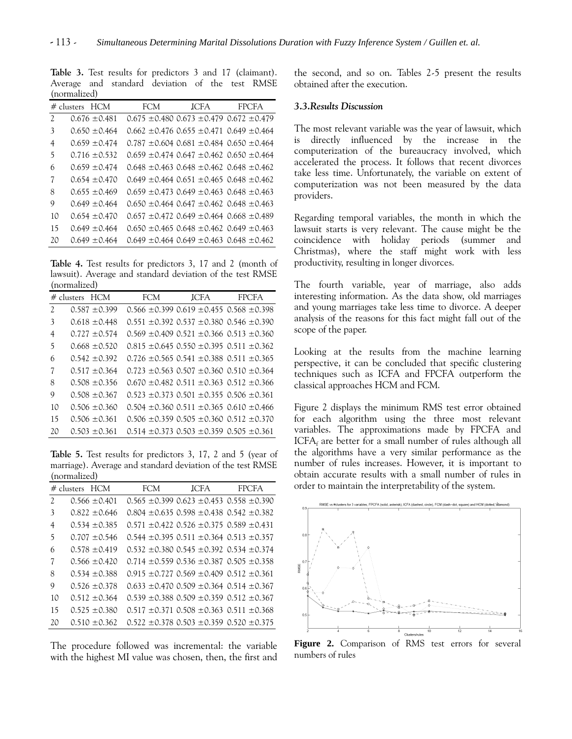**Table 3.** Test results for predictors 3 and 17 (claimant). Average and standard deviation of the test RMSE (normalized)

|                | # clusters HCM    | FCM | <b>JCFA</b>                                           | <b>FPCFA</b> |
|----------------|-------------------|-----|-------------------------------------------------------|--------------|
| $\mathfrak{D}$ | $0.676 \pm 0.481$ |     | $0.675 \pm 0.480$ $0.673 \pm 0.479$ $0.672 \pm 0.479$ |              |
| 3              | $0.650 \pm 0.464$ |     | $0.662 \pm 0.476$ 0.655 $\pm 0.471$ 0.649 $\pm 0.464$ |              |
| 4              | $0.659 \pm 0.474$ |     | $0.787 \pm 0.604$ $0.681 \pm 0.484$ $0.650 \pm 0.464$ |              |
| 5              | $0.716 \pm 0.532$ |     | $0.659 \pm 0.474$ 0.647 $\pm 0.462$ 0.650 $\pm 0.464$ |              |
| 6              | $0.659 \pm 0.474$ |     | $0.648 \pm 0.463$ $0.648 \pm 0.462$ $0.648 \pm 0.462$ |              |
| 7              | $0.654 \pm 0.470$ |     | $0.649 \pm 0.464$ $0.651 \pm 0.465$ $0.648 \pm 0.462$ |              |
| 8              | $0.655 \pm 0.469$ |     | $0.659 \pm 0.473$ 0.649 $\pm 0.463$ 0.648 $\pm 0.463$ |              |
| 9              | $0.649 \pm 0.464$ |     | $0.650 \pm 0.464$ $0.647 \pm 0.462$ $0.648 \pm 0.463$ |              |
| 10             | $0.654 \pm 0.470$ |     | $0.657 \pm 0.472$ 0.649 $\pm 0.464$ 0.668 $\pm 0.489$ |              |
| 15             | $0.649 \pm 0.464$ |     | $0.650 \pm 0.465$ 0.648 $\pm 0.462$ 0.649 $\pm 0.463$ |              |
| 20             | $0.649 \pm 0.464$ |     | $0.649 \pm 0.464$ $0.649 \pm 0.463$ $0.648 \pm 0.462$ |              |

**Table 4.** Test results for predictors 3, 17 and 2 (month of lawsuit). Average and standard deviation of the test RMSE (normalized)

|                          | (22022202207)     |     |                                                       |              |  |
|--------------------------|-------------------|-----|-------------------------------------------------------|--------------|--|
|                          | # clusters HCM    | FCM | <b>JCFA</b>                                           | <b>FPCFA</b> |  |
| $\overline{\mathcal{L}}$ | $0.587 \pm 0.399$ |     | $0.566 \pm 0.399$ $0.619 \pm 0.455$ $0.568 \pm 0.398$ |              |  |
| 3                        | $0.618 \pm 0.448$ |     | $0.551 \pm 0.392$ $0.537 \pm 0.380$ $0.546 \pm 0.390$ |              |  |
| 4                        | $0.727 \pm 0.574$ |     | $0.569 \pm 0.409$ $0.521 \pm 0.366$ $0.513 \pm 0.360$ |              |  |
| 5                        | $0.668 + 0.520$   |     | $0.815 \pm 0.645$ 0.550 $\pm 0.395$ 0.511 $\pm 0.362$ |              |  |
| 6                        | $0.542 \pm 0.392$ |     | $0.726 \pm 0.565$ 0.541 $\pm 0.388$ 0.511 $\pm 0.365$ |              |  |
| 7                        | $0.517 \pm 0.364$ |     | $0.723 \pm 0.563$ 0.507 $\pm 0.360$ 0.510 $\pm 0.364$ |              |  |
| 8                        | $0.508 + 0.356$   |     | $0.670 \pm 0.482$ $0.511 \pm 0.363$ $0.512 \pm 0.366$ |              |  |
| 9                        | $0.508 + 0.367$   |     | $0.523 \pm 0.373$ 0.501 $\pm 0.355$ 0.506 $\pm 0.361$ |              |  |
| 10                       | $0.506 + 0.360$   |     | $0.504 \pm 0.360$ $0.511 \pm 0.365$ $0.610 \pm 0.466$ |              |  |
| 15                       | $0.506 + 0.361$   |     | $0.506 \pm 0.359$ $0.505 \pm 0.360$ $0.512 \pm 0.370$ |              |  |
| 20                       | $0.503 \pm 0.361$ |     | $0.514 \pm 0.373$ $0.503 \pm 0.359$ $0.505 \pm 0.361$ |              |  |

**Table 5.** Test results for predictors 3, 17, 2 and 5 (year of marriage). Average and standard deviation of the test RMSE (normalized)

|    | $#$ clusters $HCM$ | <b>FCM</b> | <b>JCFA</b>                                           | <b>FPCFA</b> |
|----|--------------------|------------|-------------------------------------------------------|--------------|
| 2  | $0.566 \pm 0.401$  |            | $0.565 \pm 0.399$ $0.623 \pm 0.453$ $0.558 \pm 0.390$ |              |
| 3  | $0.822 \pm 0.646$  |            | $0.804 \pm 0.635$ 0.598 $\pm 0.438$ 0.542 $\pm 0.382$ |              |
| 4  | $0.534 \pm 0.385$  |            | $0.571 \pm 0.422$ $0.526 \pm 0.375$ $0.589 \pm 0.431$ |              |
| 5  | $0.707 \pm 0.546$  |            | $0.544 \pm 0.395$ $0.511 \pm 0.364$ $0.513 \pm 0.357$ |              |
| 6  | $0.578 \pm 0.419$  |            | $0.532 \pm 0.380$ $0.545 \pm 0.392$ $0.534 \pm 0.374$ |              |
| 7  | $0.566 \pm 0.420$  |            | $0.714 \pm 0.559$ 0.536 $\pm 0.387$ 0.505 $\pm 0.358$ |              |
| 8  | $0.534 \pm 0.388$  |            | $0.915 \pm 0.727$ 0.569 $\pm 0.409$ 0.512 $\pm 0.361$ |              |
| 9  | $0.526 \pm 0.378$  |            | $0.633 \pm 0.470$ $0.509 \pm 0.364$ $0.514 \pm 0.367$ |              |
| 10 | $0.512 \pm 0.364$  |            | $0.539 \pm 0.388$ $0.509 \pm 0.359$ $0.512 \pm 0.367$ |              |
| 15 | $0.525 + 0.380$    |            | $0.517 \pm 0.371$ 0.508 $\pm 0.363$ 0.511 $\pm 0.368$ |              |
| 20 | $0.510 + 0.362$    |            | $0.522 \pm 0.378$ 0.503 $\pm 0.359$ 0.520 $\pm 0.375$ |              |

The procedure followed was incremental: the variable with the highest MI value was chosen, then, the first and

the second, and so on. Tables 2-5 present the results obtained after the execution.

## *3.3.Results Discussion*

The most relevant variable was the year of lawsuit, which is directly influenced by the increase in the computerization of the bureaucracy involved, which accelerated the process. It follows that recent divorces take less time. Unfortunately, the variable on extent of computerization was not been measured by the data providers.

Regarding temporal variables, the month in which the lawsuit starts is very relevant. The cause might be the coincidence with holiday periods (summer and Christmas), where the staff might work with less productivity, resulting in longer divorces.

The fourth variable, year of marriage, also adds interesting information. As the data show, old marriages and young marriages take less time to divorce. A deeper analysis of the reasons for this fact might fall out of the scope of the paper.

Looking at the results from the machine learning perspective, it can be concluded that specific clustering techniques such as ICFA and FPCFA outperform the classical approaches HCM and FCM.

Figure 2 displays the minimum RMS test error obtained for each algorithm using the three most relevant variables. The approximations made by FPCFA and  $ICFA<sub>f</sub>$  are better for a small number of rules although all the algorithms have a very similar performance as the number of rules increases. However, it is important to obtain accurate results with a small number of rules in order to maintain the interpretability of the system.



**Figure 2.** Comparison of RMS test errors for several numbers of rules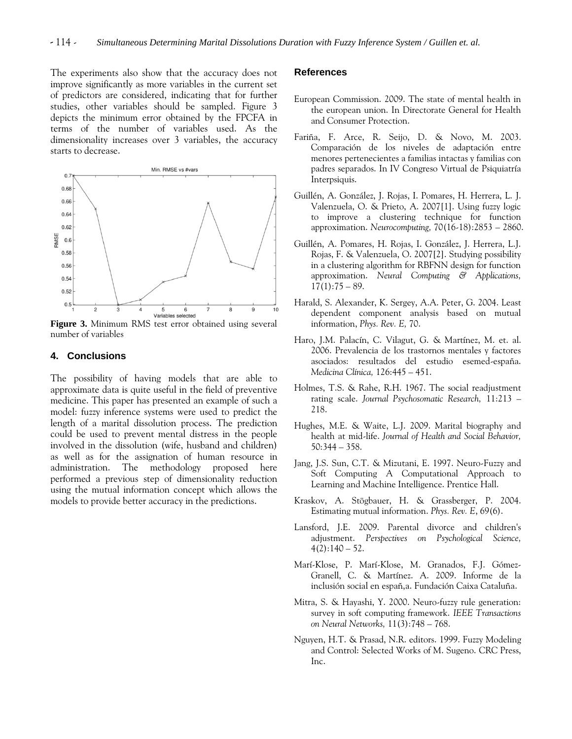The experiments also show that the accuracy does not improve significantly as more variables in the current set of predictors are considered, indicating that for further studies, other variables should be sampled. Figure 3 depicts the minimum error obtained by the FPCFA in terms of the number of variables used. As the dimensionality increases over 3 variables, the accuracy starts to decrease.



**Figure 3.** Minimum RMS test error obtained using several number of variables

#### **4. Conclusions**

The possibility of having models that are able to approximate data is quite useful in the field of preventive medicine. This paper has presented an example of such a model: fuzzy inference systems were used to predict the length of a marital dissolution process. The prediction could be used to prevent mental distress in the people involved in the dissolution (wife, husband and children) as well as for the assignation of human resource in administration. The methodology proposed here performed a previous step of dimensionality reduction using the mutual information concept which allows the models to provide better accuracy in the predictions.

## **References**

- European Commission. 2009. The state of mental health in the european union. In Directorate General for Health and Consumer Protection.
- Fariña, F. Arce, R. Seijo, D. & Novo, M. 2003. Comparación de los niveles de adaptación entre menores pertenecientes a familias intactas y familias con padres separados. In IV Congreso Virtual de Psiquiatría Interpsiquis.
- Guillén, A. González, J. Rojas, I. Pomares, H. Herrera, L. J. Valenzuela, O. & Prieto, A. 2007[1]. Using fuzzy logic to improve a clustering technique for function approximation. *Neurocomputing,* 70(16-18):2853 – 2860.
- Guillén, A. Pomares, H. Rojas, I. González, J. Herrera, L.J. Rojas, F. & Valenzuela, O. 2007[2]. Studying possibility in a clustering algorithm for RBFNN design for function approximation. *Neural Computing & Applications,*  $17(1):75 - 89.$
- Harald, S. Alexander, K. Sergey, A.A. Peter, G. 2004. Least dependent component analysis based on mutual information, *Phys. Rev. E,* 70.
- Haro, J.M. Palacín, C. Vilagut, G. & Martínez, M. et. al. 2006. Prevalencia de los trastornos mentales y factores asociados: resultados del estudio esemed-españa. *Medicina Clínica,* 126:445 – 451.
- Holmes, T.S. & Rahe, R.H. 1967. The social readjustment rating scale. *Journal Psychosomatic Research,* 11:213 – 218.
- Hughes, M.E. & Waite, L.J. 2009. Marital biography and health at mid-life. *Journal of Health and Social Behavior,* 50:344 – 358.
- Jang, J.S. Sun, C.T. & Mizutani, E. 1997. Neuro-Fuzzy and Soft Computing A Computational Approach to Learning and Machine Intelligence. Prentice Hall.
- Kraskov, A. Stögbauer, H. & Grassberger, P. 2004. Estimating mutual information. *Phys. Rev. E*, 69(6).
- Lansford, J.E. 2009. Parental divorce and children's adjustment. *Perspectives on Psychological Science,*  $4(2):140-52.$
- Marí-Klose, P. Marí-Klose, M. Granados, F.J. Gómez-Granell, C. & Martínez. A. 2009. Informe de la inclusión social en españ,a. Fundación Caixa Cataluña.
- Mitra, S. & Hayashi, Y. 2000. Neuro-fuzzy rule generation: survey in soft computing framework. *IEEE Transactions on Neural Networks,* 11(3):748 – 768.
- Nguyen, H.T. & Prasad, N.R. editors. 1999. Fuzzy Modeling and Control: Selected Works of M. Sugeno. CRC Press, Inc.